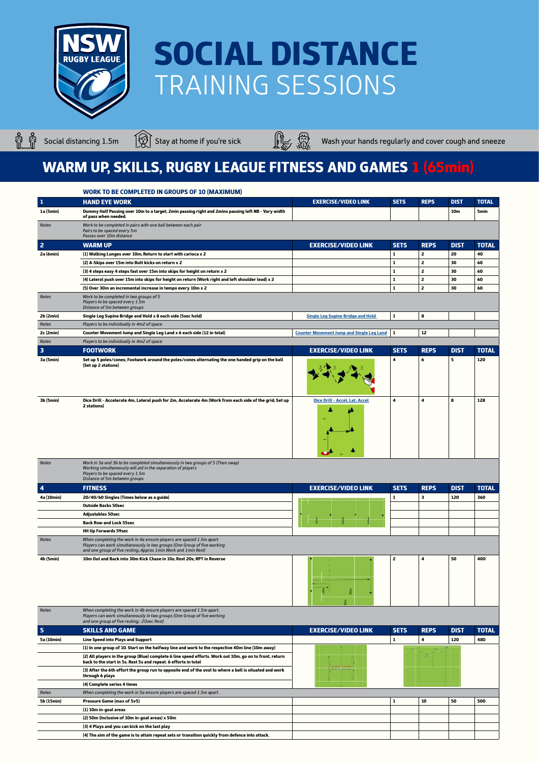

Ů. 



Social distancing 1.5m  $\bigcirc$  Stay at home if you're sick Wash your hands regularly and cover cough and sneeze

### WARM UP, SKILLS, RUGBY LEAGUE FITNESS AND GAMES 1 (65min)

|                         | <b>WORK TO BE COMPLETED IN GROUPS OF 10 (MAXIMUM)</b>                                                                                                                                                                |                                                  |                |                |             |              |
|-------------------------|----------------------------------------------------------------------------------------------------------------------------------------------------------------------------------------------------------------------|--------------------------------------------------|----------------|----------------|-------------|--------------|
| $\mathbf 1$             | <b>HAND EYE WORK</b>                                                                                                                                                                                                 | <b>EXERCISE/VIDEO LINK</b>                       | <b>SETS</b>    | <b>REPS</b>    | <b>DIST</b> | <b>TOTAL</b> |
| 1a (5min)               | Dummy Half Passing over 10m to a target; 2min passing right and 2mins passing left NB - Vary width<br>of pass when needed.                                                                                           |                                                  |                |                | 10m         | <b>5min</b>  |
| <b>Notes</b>            | Work to be completed in pairs with one ball between each pair<br>Pairs to be spaced every 5m<br>Passes over 10m distance                                                                                             |                                                  |                |                |             |              |
| $\overline{2}$          | <b>WARM UP</b>                                                                                                                                                                                                       | <b>EXERCISE/VIDEO LINK</b>                       | <b>SETS</b>    | <b>REPS</b>    | <b>DIST</b> | <b>TOTAL</b> |
| 2a (6min)               | (1) Walking Lunges over 10m; Return to start with carioca x 2                                                                                                                                                        |                                                  | $\mathbf{1}$   | $\overline{2}$ | 20          | 40           |
|                         | (2) A-Skips over 15m into Butt kicks on return x 2                                                                                                                                                                   |                                                  | 1              | $\overline{2}$ | 30          | 60           |
|                         | (3) 4 steps easy 4 steps fast over 15m into skips for height on return x 2                                                                                                                                           |                                                  | $\mathbf{1}$   | $\overline{2}$ | 30          | 60           |
|                         | (4) Lateral push over 15m into skips for height on return (Work right and left shoulder lead) x 2                                                                                                                    |                                                  | $\mathbf{1}$   | $\overline{2}$ | 30          | 60           |
|                         | (5) Over 30m an incremental increase in tempo every 10m x 2                                                                                                                                                          |                                                  | 1              | $\mathbf{2}$   | 30          | 60           |
| <b>Notes</b>            | Work to be completed in two groups of 5<br>Players to be spaced every 1.5m<br>Distance of 5m between groups                                                                                                          |                                                  |                |                |             |              |
| 2b(2min)                | Single Leg Supine Bridge and Hold x 8 each side (5sec hold)                                                                                                                                                          | <b>Single Leg Supine Bridge and Hold</b>         | $\mathbf{1}$   | 8              |             |              |
| <b>Notes</b>            | Players to be individually in 4m2 of space                                                                                                                                                                           |                                                  |                |                |             |              |
| 2c (2min)               | Counter Movement Jump and Single Leg Land x 6 each side (12 in total)                                                                                                                                                | <b>Counter Movement Jump and Single Leg Land</b> | 1              | 12             |             |              |
| <b>Notes</b>            | Players to be individually in 4m2 of space                                                                                                                                                                           |                                                  |                |                |             |              |
| $\overline{\mathbf{3}}$ | <b>FOOTWORK</b>                                                                                                                                                                                                      | <b>EXERCISE/VIDEO LINK</b>                       | <b>SETS</b>    | <b>REPS</b>    | <b>DIST</b> | <b>TOTAL</b> |
| 3a (5min)               | Set up 5 poles/cones; Footwork around the poles/cones alternating the one handed grip on the ball<br>(Set up 2 stations)                                                                                             |                                                  | 4              | 6              | 5           | 120          |
| 3b (5min)               | Dice Drill - Accelerate 4m, Lateral push for 2m, Accelerate 4m (Work from each side of the grid; Set up<br>2 stations)                                                                                               | Dice Drill - Accel; Lat; Accel                   | 4              | 4              | 8           | 128          |
| <b>Notes</b>            | Work in 3a and 3b to be completed simultaneously in two groups of 5 (Then swap)<br>Working simultaneously will aid in the separation of players<br>Players to be spaced every 1.5m<br>Distance of 5m between groups  |                                                  |                |                |             |              |
| $\overline{\mathbf{4}}$ | <b>FITNESS</b>                                                                                                                                                                                                       | <b>EXERCISE/VIDEO LINK</b>                       | <b>SETS</b>    | <b>REPS</b>    | <b>DIST</b> | <b>TOTAL</b> |
| 4a (10min)              | 20/40/60 Singles (Times below as a guide)                                                                                                                                                                            |                                                  | 1              | 3              | 120         | 360          |
|                         | <b>Outside Backs 50sec</b>                                                                                                                                                                                           |                                                  |                |                |             |              |
|                         | <b>Adjustables 50sec</b>                                                                                                                                                                                             |                                                  |                |                |             |              |
|                         | <b>Back Row and Lock 55sec</b>                                                                                                                                                                                       |                                                  |                |                |             |              |
|                         | <b>Hit Up Forwards 59sec</b>                                                                                                                                                                                         |                                                  |                |                |             |              |
| <b>Notes</b>            | When completing the work in 4a ensure players are spaced 1.5m apart.<br>Players can work simultaneously in two groups (One Group of five working<br>and one group of five resting; Approx 1 min Work and 1 min Rest) |                                                  |                |                |             |              |
| 4b (5min)               | 10m Out and Back into 30m Kick Chase in 10s; Rest 20s; RPT in Reverse                                                                                                                                                | $\overline{\phantom{a}}$                         | $\overline{2}$ | $\overline{4}$ | 50          | 400          |

| <b>Notes</b>            | When completing the work in 4b ensure players are spaced 1.5m apart.<br>Players can work simultaneously in two groups (One Group of five working<br>and one group of five resting; 20sec Rest) |                            |             |             |             |              |
|-------------------------|------------------------------------------------------------------------------------------------------------------------------------------------------------------------------------------------|----------------------------|-------------|-------------|-------------|--------------|
| $\overline{\mathbf{5}}$ | <b>SKILLS AND GAME</b>                                                                                                                                                                         | <b>EXERCISE/VIDEO LINK</b> | <b>SETS</b> | <b>REPS</b> | <b>DIST</b> | <b>TOTAL</b> |
| 5a (10min)              | <b>Line Speed into Plays and Support</b>                                                                                                                                                       |                            |             | 4           | 120         | 480          |
|                         | (1) In one group of 10. Start on the halfway line and work to the respective 40m line (10m away)                                                                                               |                            |             |             |             |              |
|                         | (2) All players in the group (Blue) complete 6 line speed efforts. Work out 10m, go on to front, return<br>back to the start in 5s. Rest 5s and repeat. 6 efforts in total                     |                            |             |             |             |              |
|                         | (3) After the 6th effort the group run to opposite end of the oval to where a ball is situated and work<br>through 6 plays                                                                     | 0.0.0.0.0.0.0.             |             |             |             |              |
|                         | (4) Complete series 4 times                                                                                                                                                                    |                            |             |             |             |              |
| <b>Notes</b>            | When completing the work in 5a ensure players are spaced 1.5m apart.                                                                                                                           |                            |             |             |             |              |
| 5b (15min)              | Pressure Game (max of 5v5)                                                                                                                                                                     |                            |             | 10          | 50          | 500          |
|                         | (1) 10m in-goal areas                                                                                                                                                                          |                            |             |             |             |              |
|                         | (2) 50m (Inclusive of 10m in-goal areas) x 50m                                                                                                                                                 |                            |             |             |             |              |
|                         | (3) 4 Plays and you can kick on the last play                                                                                                                                                  |                            |             |             |             |              |
|                         | (4) The aim of the game is to attain repeat sets or transition quickly from defence into attack.                                                                                               |                            |             |             |             |              |
|                         |                                                                                                                                                                                                |                            |             |             |             |              |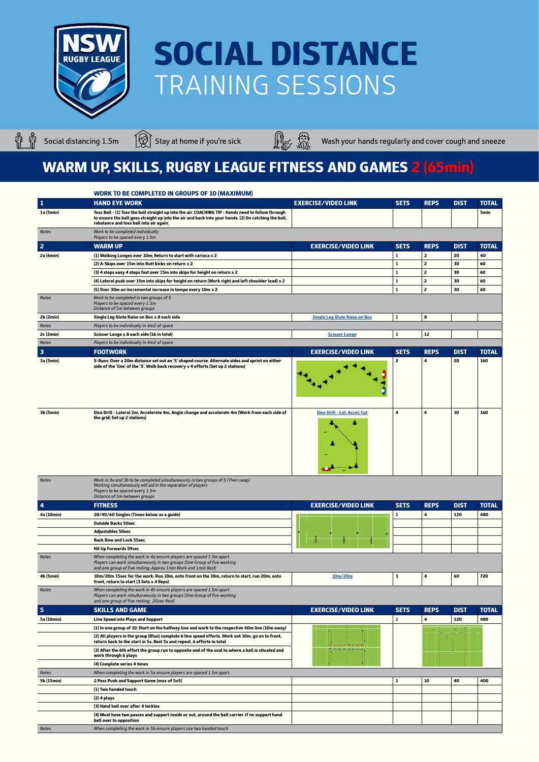

ů ů



Social distancing 1.5m  $\bigcirc$  Stay at home if you're sick Wash your hands regularly and cover cough and sneeze

|              | <b>WORK TO BE COMPLETED IN GROUPS OF 10 (MAXIMUM)</b>                                                                                                                                                                                                  |                                      |              |                |             |              |
|--------------|--------------------------------------------------------------------------------------------------------------------------------------------------------------------------------------------------------------------------------------------------------|--------------------------------------|--------------|----------------|-------------|--------------|
| $\vert$ 1    | <b>HAND EYE WORK</b>                                                                                                                                                                                                                                   | <b>EXERCISE/VIDEO LINK</b>           | <b>SETS</b>  | <b>REPS</b>    | <b>DIST</b> | <b>TOTAL</b> |
| 1a (5min)    | Toss Ball - (1) Toss the ball straight up into the air. COACHING TIP - Hands need to follow through<br>to ensure the ball goes straight up into the air and back into your hands. (2) On catching the ball,<br>rebalance and toss ball into air again. |                                      |              |                |             | <b>5min</b>  |
| <b>Notes</b> | Work to be completed individually<br>Players to be spaced every 1.5m                                                                                                                                                                                   |                                      |              |                |             |              |
| $\vert$ 2    | <b>WARM UP</b>                                                                                                                                                                                                                                         | <b>EXERCISE/VIDEO LINK</b>           | <b>SETS</b>  | <b>REPS</b>    | <b>DIST</b> | <b>TOTAL</b> |
| 2a (6min)    | (1) Walking Lunges over 10m; Return to start with carioca x 2                                                                                                                                                                                          |                                      | 1            | $\overline{2}$ | 20          | 40           |
|              | (2) A-Skips over 15m into Butt kicks on return x 2                                                                                                                                                                                                     |                                      | $\mathbf{1}$ | $\mathbf{z}$   | 30          | 60           |
|              | (3) 4 steps easy 4 steps fast over 15m into skips for height on return x 2                                                                                                                                                                             |                                      | $\mathbf 1$  | $\mathbf{z}$   | 30          | 60           |
|              | (4) Lateral push over 15m into skips for height on return (Work right and left shoulder lead) x 2                                                                                                                                                      |                                      | 1            | $\mathbf{z}$   | 30          | 60           |
|              | (5) Over 30m an incremental increase in tempo every 10m x 2                                                                                                                                                                                            |                                      | $\mathbf{1}$ | $\mathbf{2}$   | 30          | 60           |
| <b>Notes</b> | Work to be completed in two groups of 5<br>Players to be spaced every 1.5m<br>Distance of 5m between groups                                                                                                                                            |                                      |              |                |             |              |
| 2b (2min)    | Single Leg Glute Raise on Box x 8 each side                                                                                                                                                                                                            | <b>Single Leg Glute Raise on Box</b> | 1            | 8              |             |              |
| <b>Notes</b> | Players to be individually in 4m2 of space                                                                                                                                                                                                             |                                      |              |                |             |              |
| 2c (2min)    | Scissor Lunge x 8 each side (16 in total)                                                                                                                                                                                                              | <b>Scissor Lunge</b>                 | 1            | 12             |             |              |
| <b>Notes</b> | Players to be individually in 4m2 of space                                                                                                                                                                                                             |                                      |              |                |             |              |
| $\vert$ 3    | <b>FOOTWORK</b>                                                                                                                                                                                                                                        | <b>EXERCISE/VIDEO LINK</b>           | <b>SETS</b>  | <b>REPS</b>    | <b>DIST</b> | <b>TOTAL</b> |
| 3a (5min)    | S-Runs: Over a 20m distance set out an 'S' shaped course. Alternate sides and sprint on either<br>side of the 'line' of the 'S'. Walk back recovery x 4 efforts (Set up 2 stations)                                                                    |                                      | 2            | 4              | 20          | 160          |
| 3b (5min)    | Dice Drill - Lateral 2m, Accelerate 4m, Angle change and accelerate 4m (Work from each side of<br>the grid; Set up 2 stations)                                                                                                                         | Dice Drill - Lat; Accel; Cut         | 4            | 4              | 10          | 160          |
| <b>Notes</b> | Work in 3a and 3b to be completed simultaneously in two groups of 5 (Then swap)<br>Working simultaneously will aid in the separation of players<br>Players to be spaced every 1.5m<br>Distance of 5m between groups                                    |                                      |              |                |             |              |
| $\vert$ 4    | <b>FITNESS</b>                                                                                                                                                                                                                                         | <b>EXERCISE/VIDEO LINK</b>           | <b>SETS</b>  | <b>REPS</b>    | <b>DIST</b> | <b>TOTAL</b> |
| 4a (10min)   | 20/40/60 Singles (Times below as a guide)                                                                                                                                                                                                              |                                      | 1            | 4              | 120         | 480          |
|              | <b>Outside Backs 50sec</b>                                                                                                                                                                                                                             |                                      |              |                |             |              |
|              | <b>Adjustables 50sec</b>                                                                                                                                                                                                                               |                                      |              |                |             |              |
|              | <b>Back Row and Lock 55sec</b>                                                                                                                                                                                                                         |                                      |              |                |             |              |
|              | <b>Hit Up Forwards 59sec</b>                                                                                                                                                                                                                           |                                      |              |                |             |              |
| <b>Notes</b> | When completing the work in 4a ensure players are spaced 1.5m apart.<br>Players can work simultaneously in two groups (One Group of five working<br>and one group of five resting; Approx 1 min Work and 1 min Rest)                                   |                                      |              |                |             |              |
| 4b (5min)    | 10m/20m 15sec for the work: Run 10m, onto front on the 10m, return to start, run 20m, onto<br>front, return to start (3 Sets x 4 Reps)                                                                                                                 | 10m/20m                              | 3            | 4              | 60          | 720          |
| <b>Notes</b> | When completing the work in 4b ensure players are spaced 1.5m apart.<br>Players can work simultaneously in two groups (One Group of five working<br>and one group of five resting; 20sec Rest)                                                         |                                      |              |                |             |              |
| $\vert$ 5    | <b>SKILLS AND GAME</b>                                                                                                                                                                                                                                 | <b>EXERCISE/VIDEO LINK</b>           | <b>SETS</b>  | <b>REPS</b>    | <b>DIST</b> | <b>TOTAL</b> |
| 5a (10min)   | Line Speed into Plays and Support                                                                                                                                                                                                                      |                                      | 1            | 4              | 120         | 480          |
|              | (1) In one group of 10. Start on the halfway line and work to the respective 40m line (10m away)                                                                                                                                                       |                                      |              |                |             |              |
|              | (2) All players in the group (Blue) complete 6 line speed efforts. Work out 10m, go on to front,<br>return back to the start in 5s. Rest 5s and repeat. 6 efforts in total                                                                             |                                      |              |                |             |              |
|              | (3) After the 6th effort the group run to opposite end of the oval to where a ball is situated and<br>work through 6 plays                                                                                                                             | .                                    |              |                |             |              |
|              | (4) Complete series 4 times                                                                                                                                                                                                                            |                                      |              |                |             |              |
| <b>Notes</b> | When completing the work in 5a ensure players are spaced 1.5m apart.                                                                                                                                                                                   |                                      |              |                |             |              |
| 5b (15min)   | 2 Pass Push and Support Game (max of 5v5)                                                                                                                                                                                                              |                                      | 1            | 10             | 40          | 400          |
|              | (1) Two handed touch                                                                                                                                                                                                                                   |                                      |              |                |             |              |
|              | $(2)$ 4 plays                                                                                                                                                                                                                                          |                                      |              |                |             |              |
|              | (3) Hand ball over after 4 tackles                                                                                                                                                                                                                     |                                      |              |                |             |              |
|              | (4) Must have two passes and support inside or out, around the ball carrier. If no support hand<br>ball over to opposition                                                                                                                             |                                      |              |                |             |              |
| <b>Notes</b> | When completing the work in 5b ensure players use two handed touch                                                                                                                                                                                     |                                      |              |                |             |              |

#### WARM UP, SKILLS, RUGBY LEAGUE FITNESS AND GAMES 2 (65min)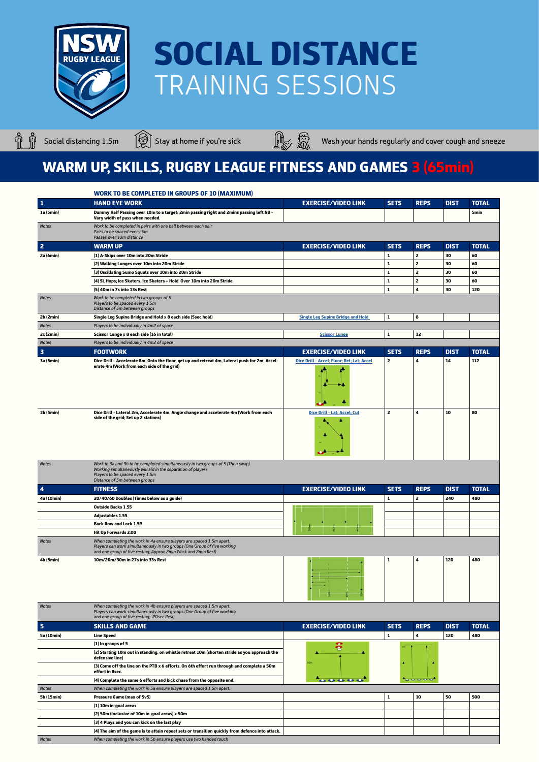

ů ů



Social distancing 1.5m  $\bigcirc$  Stay at home if you're sick Wash your hands regularly and cover cough and sneeze

#### WARM UP, SKILLS, RUGBY LEAGUE FITNESS AND GAMES 3 (65min)

|                | <b>WORK TO BE COMPLETED IN GROUPS OF 10 (MAXIMUM)</b>                                                                                                                                                               |                                            |              |                |             |              |
|----------------|---------------------------------------------------------------------------------------------------------------------------------------------------------------------------------------------------------------------|--------------------------------------------|--------------|----------------|-------------|--------------|
| $\mathbf{1}$   | <b>HAND EYE WORK</b>                                                                                                                                                                                                | <b>EXERCISE/VIDEO LINK</b>                 | <b>SETS</b>  | <b>REPS</b>    | <b>DIST</b> | <b>TOTAL</b> |
| 1a (5min)      | Dummy Half Passing over 10m to a target; 2min passing right and 2mins passing left NB -<br>Vary width of pass when needed.                                                                                          |                                            |              |                |             | 5min         |
| <b>Notes</b>   | Work to be completed in pairs with one ball between each pair<br>Pairs to be spaced every 5m<br>Passes over 10m distance                                                                                            |                                            |              |                |             |              |
| $\overline{2}$ | <b>WARM UP</b>                                                                                                                                                                                                      | <b>EXERCISE/VIDEO LINK</b>                 | <b>SETS</b>  | <b>REPS</b>    | <b>DIST</b> | <b>TOTAL</b> |
| 2a (6min)      | (1) A-Skips over 10m into 20m Stride                                                                                                                                                                                |                                            | 1            | $\overline{2}$ | 30          | 60           |
|                | (2) Walking Lunges over 10m into 20m Stride                                                                                                                                                                         |                                            | 1            | $\mathbf{z}$   | 30          | 60           |
|                | (3) Oscillating Sumo Squats over 10m into 20m Stride                                                                                                                                                                |                                            | $\mathbf{1}$ | $\mathbf{z}$   | 30          | 60           |
|                | (4) SL Hops; Ice Skaters; Ice Skaters + Hold Over 10m into 20m Stride                                                                                                                                               |                                            | $\mathbf 1$  | $\overline{2}$ | 30          | 60           |
|                | (5) 40m in 7s into 13s Rest                                                                                                                                                                                         |                                            | $\mathbf{1}$ | 4              | 30          | 120          |
| <b>Notes</b>   | Work to be completed in two groups of 5<br>Players to be spaced every 1.5m<br>Distance of 5m between groups                                                                                                         |                                            |              |                |             |              |
| 2b (2min)      | Single Leg Supine Bridge and Hold x 8 each side (5sec hold)                                                                                                                                                         | <b>Single Leg Supine Bridge and Hold</b>   | $\mathbf 1$  | 8              |             |              |
| <b>Notes</b>   | Players to be individually in 4m2 of space                                                                                                                                                                          |                                            |              |                |             |              |
| 2c (2min)      | Scissor Lunge x 8 each side (16 in total)                                                                                                                                                                           | <b>Scissor Lunge</b>                       | 1            | 12             |             |              |
| <b>Notes</b>   | Players to be individually in 4m2 of space                                                                                                                                                                          |                                            |              |                |             |              |
| з              | <b>FOOTWORK</b>                                                                                                                                                                                                     | <b>EXERCISE/VIDEO LINK</b>                 | <b>SETS</b>  | <b>REPS</b>    | <b>DIST</b> | <b>TOTAL</b> |
| 3a (5min)      | Dice Drill - Accelerate 8m, Onto the floor, get up and retreat 4m, Lateral push for 2m, Accel-<br>erate 4m (Work from each side of the grid)                                                                        | Dice Drill - Accel; Floor; Ret; Lat; Accel | $\mathbf{z}$ | 4              | 14          | 112          |
| 3b (5min)      | Dice Drill - Lateral 2m, Accelerate 4m, Angle change and accelerate 4m (Work from each<br>side of the grid; Set up 2 stations)                                                                                      | Dice Drill - Lat; Accel; Cut               | 2            | 4              | 10          | 80           |
| <b>Notes</b>   | Work in 3a and 3b to be completed simultaneously in two groups of 5 (Then swap)<br>Working simultaneously will aid in the separation of players<br>Players to be spaced every 1.5m<br>Distance of 5m between groups |                                            |              |                |             |              |
| 4              | <b>FITNESS</b>                                                                                                                                                                                                      | <b>EXERCISE/VIDEO LINK</b>                 | <b>SETS</b>  | <b>REPS</b>    | <b>DIST</b> | <b>TOTAL</b> |
| 4a (10min)     | 20/40/60 Doubles (Times below as a guide)                                                                                                                                                                           |                                            | 1            | $\mathbf{2}$   | 240         | 480          |
|                | <b>Outside Backs 1.55</b>                                                                                                                                                                                           |                                            |              |                |             |              |
|                | <b>Adjustables 1.55</b>                                                                                                                                                                                             |                                            |              |                |             |              |
|                | <b>Back Row and Lock 1.59</b>                                                                                                                                                                                       |                                            |              |                |             |              |
|                | <b>Hit Up Forwards 2.00</b>                                                                                                                                                                                         |                                            |              |                |             |              |
| <b>Notes</b>   | When completing the work in 4a ensure players are spaced 1.5m apart.<br>Players can work simultaneously in two groups (One Group of five working<br>and one group of five resting; Approx 2min Work and 2min Rest)  |                                            |              |                |             |              |
| 4b (5min)      | 10m/20m/30m in 27s into 33s Rest                                                                                                                                                                                    |                                            | 1            | 4              | 120         | 480          |

| <b>Notes</b> | When completing the work in 4b ensure players are spaced 1.5m apart.<br>Players can work simultaneously in two groups (One Group of five working<br>and one group of five resting; 20sec Rest) |                                              |                   |             |             |              |  |
|--------------|------------------------------------------------------------------------------------------------------------------------------------------------------------------------------------------------|----------------------------------------------|-------------------|-------------|-------------|--------------|--|
| 5            | <b>SKILLS AND GAME</b>                                                                                                                                                                         | <b>EXERCISE/VIDEO LINK</b>                   | <b>SETS</b>       | <b>REPS</b> | <b>DIST</b> | <b>TOTAL</b> |  |
| 5a (10min)   | <b>Line Speed</b>                                                                                                                                                                              |                                              | 1                 | 4           | 120         | 480          |  |
|              | $(1)$ In groups of 5                                                                                                                                                                           |                                              |                   |             |             |              |  |
|              | (2) Starting 10m out in standing, on whistle retreat 10m (shorten stride as you approach the<br>defensive line)                                                                                |                                              |                   |             |             |              |  |
|              | (3) Come off the line on the PTB x 6 efforts. On 6th effort run through and complete a 50m<br>effort in 8sec.                                                                                  |                                              |                   |             |             |              |  |
|              | (4) Complete the same 6 efforts and kick chase from the opposite end.                                                                                                                          | $\bullet\bullet\bullet\bullet\bullet\bullet$ | <b>CONTRACTOR</b> |             |             |              |  |
| <b>Notes</b> | When completing the work in 5a ensure players are spaced 1.5m apart.                                                                                                                           |                                              |                   |             |             |              |  |
| 5b (15min)   | Pressure Game (max of 5v5)                                                                                                                                                                     |                                              | 1                 | 10          | 50          | 500          |  |
|              | (1) 10m in-goal areas                                                                                                                                                                          |                                              |                   |             |             |              |  |
|              | (2) 50m (Inclusive of 10m in-goal areas) x 50m                                                                                                                                                 |                                              |                   |             |             |              |  |
|              | (3) 4 Plays and you can kick on the last play                                                                                                                                                  |                                              |                   |             |             |              |  |
|              | (4) The aim of the game is to attain repeat sets or transition quickly from defence into attack.                                                                                               |                                              |                   |             |             |              |  |
| <b>Notes</b> | When completing the work in 5b ensure players use two handed touch                                                                                                                             |                                              |                   |             |             |              |  |
|              |                                                                                                                                                                                                |                                              |                   |             |             |              |  |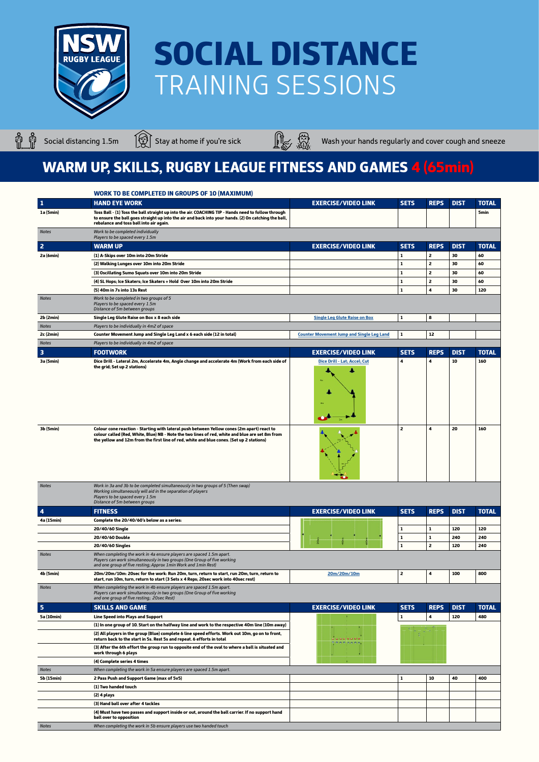

ů ů



Social distancing 1.5m  $\bigcirc$  Stay at home if you're sick Wash your hands regularly and cover cough and sneeze

|                         | <b>WORK TO BE COMPLETED IN GROUPS OF 10 (MAXIMUM)</b>                                                                                                                                                                                                                                     |                                                  |                |                |             |              |
|-------------------------|-------------------------------------------------------------------------------------------------------------------------------------------------------------------------------------------------------------------------------------------------------------------------------------------|--------------------------------------------------|----------------|----------------|-------------|--------------|
| 1                       | <b>HAND EYE WORK</b>                                                                                                                                                                                                                                                                      | <b>EXERCISE/VIDEO LINK</b>                       | <b>SETS</b>    | <b>REPS</b>    | <b>DIST</b> | <b>TOTAL</b> |
| 1a (5min)               | Toss Ball - (1) Toss the ball straight up into the air. COACHING TIP - Hands need to follow through<br>to ensure the ball goes straight up into the air and back into your hands. (2) On catching the ball,<br>rebalance and toss ball into air again.                                    |                                                  |                |                |             | <b>5min</b>  |
| <b>Notes</b>            | Work to be completed individually<br>Players to be spaced every 1.5m                                                                                                                                                                                                                      |                                                  |                |                |             |              |
| $\overline{2}$          | <b>WARM UP</b>                                                                                                                                                                                                                                                                            | <b>EXERCISE/VIDEO LINK</b>                       | <b>SETS</b>    | <b>REPS</b>    | <b>DIST</b> | <b>TOTAL</b> |
| 2a (6min)               | (1) A-Skips over 10m into 20m Stride                                                                                                                                                                                                                                                      |                                                  | 1              | 2              | 30          | 60           |
|                         | (2) Walking Lunges over 10m into 20m Stride                                                                                                                                                                                                                                               |                                                  | $\mathbf{1}$   | $\overline{2}$ | 30          | 60           |
|                         | (3) Oscillating Sumo Squats over 10m into 20m Stride                                                                                                                                                                                                                                      |                                                  | 1              | $\overline{2}$ | 30          | 60           |
|                         | (4) SL Hops; Ice Skaters; Ice Skaters + Hold Over 10m into 20m Stride                                                                                                                                                                                                                     |                                                  | 1              | $\overline{2}$ | 30          | 60           |
|                         | (5) 40m in 7s into 13s Rest                                                                                                                                                                                                                                                               |                                                  | $\mathbf{1}$   | 4              | 30          | 120          |
| <b>Notes</b>            | Work to be completed in two groups of 5<br>Players to be spaced every 1.5m<br>Distance of 5m between groups                                                                                                                                                                               |                                                  |                |                |             |              |
| 2b (2min)               | Single Leg Glute Raise on Box x 8 each side                                                                                                                                                                                                                                               | <b>Single Leg Glute Raise on Box</b>             | 1              | 8              |             |              |
| <b>Notes</b>            | Players to be individually in 4m2 of space                                                                                                                                                                                                                                                |                                                  |                |                |             |              |
| 2c (2min)               | Counter Movement Jump and Single Leg Land x 6 each side (12 in total)                                                                                                                                                                                                                     | <b>Counter Movement Jump and Single Leg Land</b> | 1              | 12             |             |              |
| <b>Notes</b>            | Players to be individually in 4m2 of space                                                                                                                                                                                                                                                |                                                  |                |                |             |              |
| $\overline{\mathbf{3}}$ | <b>FOOTWORK</b>                                                                                                                                                                                                                                                                           | <b>EXERCISE/VIDEO LINK</b>                       | <b>SETS</b>    | <b>REPS</b>    | <b>DIST</b> | <b>TOTAL</b> |
| 3a (5min)               | Dice Drill - Lateral 2m, Accelerate 4m, Angle change and accelerate 4m (Work from each side of<br>the grid; Set up 2 stations)                                                                                                                                                            | Dice Drill - Lat; Accel; Cut                     | 4              | 4              | 10          | 160          |
| 3b (5min)               | Colour cone reaction - Starting with lateral push between Yellow cones (2m apart) react to<br>colour called (Red, White, Blue) NB - Note the two lines of red, white and blue are set 8m from<br>the yellow and 12m from the first line of red, white and blue cones. (Set up 2 stations) |                                                  | $\overline{2}$ | 4              | 20          | 160          |
| <b>Notes</b>            | Work in 3a and 3b to be completed simultaneously in two groups of 5 (Then swap)<br>Working simultaneously will aid in the separation of players<br>Players to be spaced every 1.5m<br>Distance of 5m between groups                                                                       |                                                  |                |                |             |              |
| $\blacktriangleleft$    | <b>FITNESS</b>                                                                                                                                                                                                                                                                            | <b>EXERCISE/VIDEO LINK</b>                       | <b>SETS</b>    | <b>REPS</b>    | <b>DIST</b> | <b>TOTAL</b> |
| 4a (15min)              | Complete the 20/40/60's below as a series:                                                                                                                                                                                                                                                |                                                  |                |                |             |              |
|                         | 20/40/60 Single                                                                                                                                                                                                                                                                           |                                                  | $\mathbf{1}$   | 1              | 120         | 120          |
|                         | 20/40/60 Double                                                                                                                                                                                                                                                                           |                                                  | $\mathbf{1}$   | $\mathbf{1}$   | 240         | 240          |
|                         | 20/40/60 Singles                                                                                                                                                                                                                                                                          |                                                  | 1              | $\overline{2}$ | 120         | 240          |
| <b>Notes</b>            | When completing the work in 4a ensure players are spaced 1.5m apart.<br>Players can work simultaneously in two groups (One Group of five working<br>and one group of five resting; Approx 1 min Work and 1 min Rest)                                                                      |                                                  |                |                |             |              |
| 4b (5min)               | 20m/20m/10m: 20sec for the work: Run 20m, turn, return to start, run 20m, turn, return to<br>start, run 10m, turn, return to start (3 Sets x 4 Reps; 20sec work into 40sec rest)                                                                                                          | 20m/20m/10m                                      | $\overline{2}$ | 4              | 100         | 800          |
| <b>Notes</b>            | When completing the work in 4b ensure players are spaced 1.5m apart.<br>Players can work simultaneously in two groups (One Group of five working<br>and one group of five resting; 20sec Rest)                                                                                            |                                                  |                |                |             |              |
| 5                       | <b>SKILLS AND GAME</b>                                                                                                                                                                                                                                                                    | <b>EXERCISE/VIDEO LINK</b>                       | <b>SETS</b>    | <b>REPS</b>    | <b>DIST</b> | <b>TOTAL</b> |
| 5a (10min)              | <b>Line Speed into Plays and Support</b>                                                                                                                                                                                                                                                  |                                                  | 1              | 4              | 120         | 480          |
|                         | (1) In one group of 10. Start on the halfway line and work to the respective 40m line (10m away)                                                                                                                                                                                          |                                                  |                |                |             |              |
|                         | (2) All players in the group (Blue) complete 6 line speed efforts. Work out 10m, go on to front,<br>return back to the start in 5s. Rest 5s and repeat. 6 efforts in total                                                                                                                | .<br><b>.</b>                                    |                |                |             |              |
|                         | (3) After the 6th effort the group run to opposite end of the oval to where a ball is situated and<br>work through 6 plays                                                                                                                                                                |                                                  |                |                |             |              |
|                         | (4) Complete series 4 times                                                                                                                                                                                                                                                               |                                                  |                |                |             |              |
| <b>Notes</b>            | When completing the work in 5a ensure players are spaced 1.5m apart.                                                                                                                                                                                                                      |                                                  |                |                |             |              |
| 5b (15min)              | 2 Pass Push and Support Game (max of 5v5)                                                                                                                                                                                                                                                 |                                                  | 1              | 10             | 40          | 400          |
|                         | (1) Two handed touch                                                                                                                                                                                                                                                                      |                                                  |                |                |             |              |
|                         | (2) 4 plays                                                                                                                                                                                                                                                                               |                                                  |                |                |             |              |
|                         | (3) Hand ball over after 4 tackles<br>(4) Must have two passes and support inside or out, around the ball carrier. If no support hand                                                                                                                                                     |                                                  |                |                |             |              |
|                         | ball over to opposition                                                                                                                                                                                                                                                                   |                                                  |                |                |             |              |
| <b>Notes</b>            | When completing the work in 5b ensure players use two handed touch                                                                                                                                                                                                                        |                                                  |                |                |             |              |

#### WARM UP, SKILLS, RUGBY LEAGUE FITNESS AND GAMES 4 (65min)